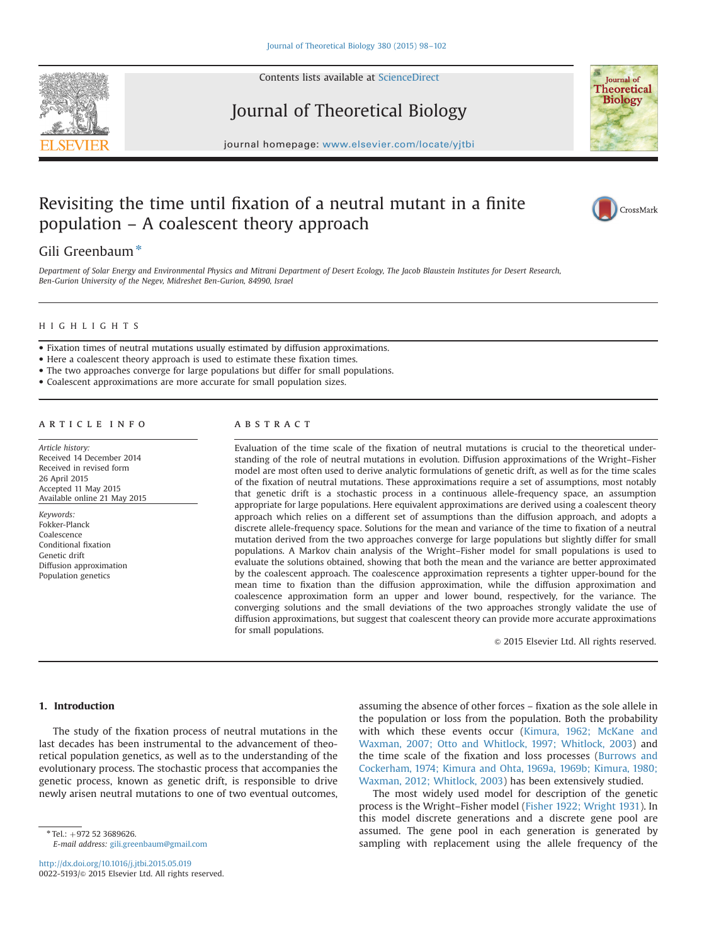



Journal of Theoretical Biology



CrossMark

journal homepage: <www.elsevier.com/locate/yjtbi>

## Revisiting the time until fixation of a neutral mutant in a finite population – A coalescent theory approach

# Gili Greenbaum $*$

Department of Solar Energy and Environmental Physics and Mitrani Department of Desert Ecology, The Jacob Blaustein Institutes for Desert Research, Ben-Gurion University of the Negev, Midreshet Ben-Gurion, 84990, Israel

## HIGHLIGHTS

- Fixation times of neutral mutations usually estimated by diffusion approximations.
- Here a coalescent theory approach is used to estimate these fixation times.
- The two approaches converge for large populations but differ for small populations.
- Coalescent approximations are more accurate for small population sizes.

## article info

Article history: Received 14 December 2014 Received in revised form 26 April 2015 Accepted 11 May 2015 Available online 21 May 2015

Keywords: Fokker-Planck Coalescence Conditional fixation Genetic drift Diffusion approximation Population genetics

## **ABSTRACT**

Evaluation of the time scale of the fixation of neutral mutations is crucial to the theoretical understanding of the role of neutral mutations in evolution. Diffusion approximations of the Wright–Fisher model are most often used to derive analytic formulations of genetic drift, as well as for the time scales of the fixation of neutral mutations. These approximations require a set of assumptions, most notably that genetic drift is a stochastic process in a continuous allele-frequency space, an assumption appropriate for large populations. Here equivalent approximations are derived using a coalescent theory approach which relies on a different set of assumptions than the diffusion approach, and adopts a discrete allele-frequency space. Solutions for the mean and variance of the time to fixation of a neutral mutation derived from the two approaches converge for large populations but slightly differ for small populations. A Markov chain analysis of the Wright–Fisher model for small populations is used to evaluate the solutions obtained, showing that both the mean and the variance are better approximated by the coalescent approach. The coalescence approximation represents a tighter upper-bound for the mean time to fixation than the diffusion approximation, while the diffusion approximation and coalescence approximation form an upper and lower bound, respectively, for the variance. The converging solutions and the small deviations of the two approaches strongly validate the use of diffusion approximations, but suggest that coalescent theory can provide more accurate approximations for small populations.

 $@$  2015 Elsevier Ltd. All rights reserved.

## 1. Introduction

The study of the fixation process of neutral mutations in the last decades has been instrumental to the advancement of theoretical population genetics, as well as to the understanding of the evolutionary process. The stochastic process that accompanies the genetic process, known as genetic drift, is responsible to drive newly arisen neutral mutations to one of two eventual outcomes,

 $*$  Tel.:  $+972$  52 3689626. E-mail address: [gili.greenbaum@gmail.com](mailto:gili.greenbaum@gmail.com)

<http://dx.doi.org/10.1016/j.jtbi.2015.05.019> 0022-5193/@ 2015 Elsevier Ltd. All rights reserved. assuming the absence of other forces – fixation as the sole allele in the population or loss from the population. Both the probability with which these events occur [\(Kimura, 1962; McKane and](#page-4-0) [Waxman, 2007; Otto and Whitlock, 1997; Whitlock, 2003](#page-4-0)) and the time scale of the fixation and loss processes ([Burrows and](#page-4-0) [Cockerham, 1974; Kimura and Ohta, 1969a, 1969b; Kimura, 1980;](#page-4-0) [Waxman, 2012; Whitlock, 2003\)](#page-4-0) has been extensively studied.

The most widely used model for description of the genetic process is the Wright–Fisher model ([Fisher 1922; Wright 1931\)](#page-4-0). In this model discrete generations and a discrete gene pool are assumed. The gene pool in each generation is generated by sampling with replacement using the allele frequency of the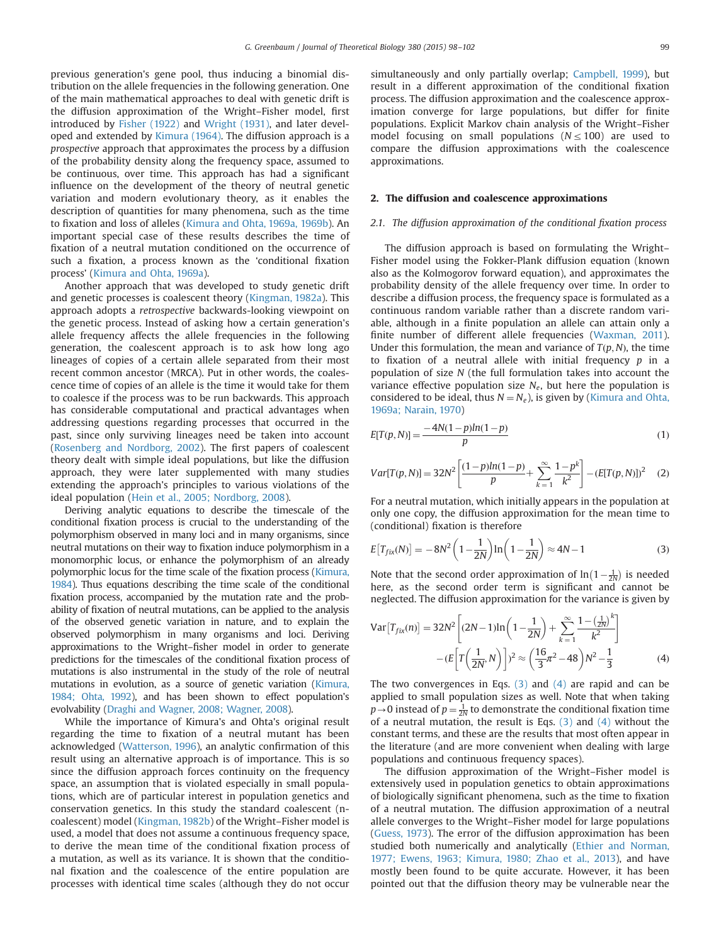<span id="page-1-0"></span>previous generation's gene pool, thus inducing a binomial distribution on the allele frequencies in the following generation. One of the main mathematical approaches to deal with genetic drift is the diffusion approximation of the Wright–Fisher model, first introduced by [Fisher \(1922\)](#page-4-0) and [Wright \(1931\)](#page-4-0), and later developed and extended by [Kimura \(1964\).](#page-4-0) The diffusion approach is a prospective approach that approximates the process by a diffusion of the probability density along the frequency space, assumed to be continuous, over time. This approach has had a significant influence on the development of the theory of neutral genetic variation and modern evolutionary theory, as it enables the description of quantities for many phenomena, such as the time to fixation and loss of alleles ([Kimura and Ohta, 1969a, 1969b\)](#page-4-0). An important special case of these results describes the time of fixation of a neutral mutation conditioned on the occurrence of such a fixation, a process known as the 'conditional fixation process' ([Kimura and Ohta, 1969a](#page-4-0)).

Another approach that was developed to study genetic drift and genetic processes is coalescent theory ([Kingman, 1982a](#page-4-0)). This approach adopts a retrospective backwards-looking viewpoint on the genetic process. Instead of asking how a certain generation's allele frequency affects the allele frequencies in the following generation, the coalescent approach is to ask how long ago lineages of copies of a certain allele separated from their most recent common ancestor (MRCA). Put in other words, the coalescence time of copies of an allele is the time it would take for them to coalesce if the process was to be run backwards. This approach has considerable computational and practical advantages when addressing questions regarding processes that occurred in the past, since only surviving lineages need be taken into account ([Rosenberg and Nordborg, 2002](#page-4-0)). The first papers of coalescent theory dealt with simple ideal populations, but like the diffusion approach, they were later supplemented with many studies extending the approach's principles to various violations of the ideal population ([Hein et al., 2005; Nordborg, 2008\)](#page-4-0).

Deriving analytic equations to describe the timescale of the conditional fixation process is crucial to the understanding of the polymorphism observed in many loci and in many organisms, since neutral mutations on their way to fixation induce polymorphism in a monomorphic locus, or enhance the polymorphism of an already polymorphic locus for the time scale of the fixation process [\(Kimura,](#page-4-0) [1984](#page-4-0)). Thus equations describing the time scale of the conditional fixation process, accompanied by the mutation rate and the probability of fixation of neutral mutations, can be applied to the analysis of the observed genetic variation in nature, and to explain the observed polymorphism in many organisms and loci. Deriving approximations to the Wright–fisher model in order to generate predictions for the timescales of the conditional fixation process of mutations is also instrumental in the study of the role of neutral mutations in evolution, as a source of genetic variation [\(Kimura,](#page-4-0) [1984; Ohta, 1992](#page-4-0)), and has been shown to effect population's evolvability [\(Draghi and Wagner, 2008; Wagner, 2008\)](#page-4-0).

While the importance of Kimura's and Ohta's original result regarding the time to fixation of a neutral mutant has been acknowledged ([Watterson, 1996\)](#page-4-0), an analytic confirmation of this result using an alternative approach is of importance. This is so since the diffusion approach forces continuity on the frequency space, an assumption that is violated especially in small populations, which are of particular interest in population genetics and conservation genetics. In this study the standard coalescent (ncoalescent) model ([Kingman, 1982b](#page-4-0)) of the Wright–Fisher model is used, a model that does not assume a continuous frequency space, to derive the mean time of the conditional fixation process of a mutation, as well as its variance. It is shown that the conditional fixation and the coalescence of the entire population are processes with identical time scales (although they do not occur simultaneously and only partially overlap; [Campbell, 1999](#page-4-0)), but result in a different approximation of the conditional fixation process. The diffusion approximation and the coalescence approximation converge for large populations, but differ for finite populations. Explicit Markov chain analysis of the Wright–Fisher model focusing on small populations ( $N \leq 100$ ) are used to compare the diffusion approximations with the coalescence approximations.

### 2. The diffusion and coalescence approximations

### 2.1. The diffusion approximation of the conditional fixation process

The diffusion approach is based on formulating the Wright– Fisher model using the Fokker-Plank diffusion equation (known also as the Kolmogorov forward equation), and approximates the probability density of the allele frequency over time. In order to describe a diffusion process, the frequency space is formulated as a continuous random variable rather than a discrete random variable, although in a finite population an allele can attain only a finite number of different allele frequencies ([Waxman, 2011\)](#page-4-0). Under this formulation, the mean and variance of  $T(p, N)$ , the time to fixation of a neutral allele with initial frequency  $p$  in a population of size N (the full formulation takes into account the variance effective population size  $N_e$ , but here the population is considered to be ideal, thus  $N = N_e$ ), is given by ([Kimura and Ohta,](#page-4-0) [1969a; Narain, 1970](#page-4-0))

$$
E[T(p,N)] = \frac{-4N(1-p)ln(1-p)}{p}
$$
\n(1)

$$
Var[T(p, N)] = 32N^2 \left[ \frac{(1-p)ln(1-p)}{p} + \sum_{k=1}^{\infty} \frac{1-p^k}{k^2} \right] - (E[T(p, N)])^2 \quad (2)
$$

For a neutral mutation, which initially appears in the population at only one copy, the diffusion approximation for the mean time to (conditional) fixation is therefore

$$
E[T_{fix}(N)] = -8N^2 \left(1 - \frac{1}{2N}\right) \ln\left(1 - \frac{1}{2N}\right) \approx 4N - 1\tag{3}
$$

Note that the second order approximation of  $\ln(1-\frac{1}{2N})$  is needed here, as the second order term is significant and cannot be neglected. The diffusion approximation for the variance is given by

$$
\text{Var}\left[T_{fix}(n)\right] = 32N^2 \left[ (2N - 1)\ln\left(1 - \frac{1}{2N}\right) + \sum_{k=1}^{\infty} \frac{1 - \left(\frac{1}{2N}\right)^k}{k^2} \right] - (E\left[T\left(\frac{1}{2N}, N\right)\right])^2 \approx \left(\frac{16}{3}\pi^2 - 48\right)N^2 - \frac{1}{3} \tag{4}
$$

The two convergences in Eqs. (3) and (4) are rapid and can be applied to small population sizes as well. Note that when taking  $p\rightarrow 0$  instead of  $p=\frac{1}{2N}$  to demonstrate the conditional fixation time of a neutral mutation, the result is Eqs. (3) and (4) without the constant terms, and these are the results that most often appear in the literature (and are more convenient when dealing with large populations and continuous frequency spaces).

The diffusion approximation of the Wright–Fisher model is extensively used in population genetics to obtain approximations of biologically significant phenomena, such as the time to fixation of a neutral mutation. The diffusion approximation of a neutral allele converges to the Wright–Fisher model for large populations ([Guess, 1973](#page-4-0)). The error of the diffusion approximation has been studied both numerically and analytically [\(Ethier and Norman,](#page-4-0) [1977; Ewens, 1963; Kimura, 1980; Zhao et al., 2013](#page-4-0)), and have mostly been found to be quite accurate. However, it has been pointed out that the diffusion theory may be vulnerable near the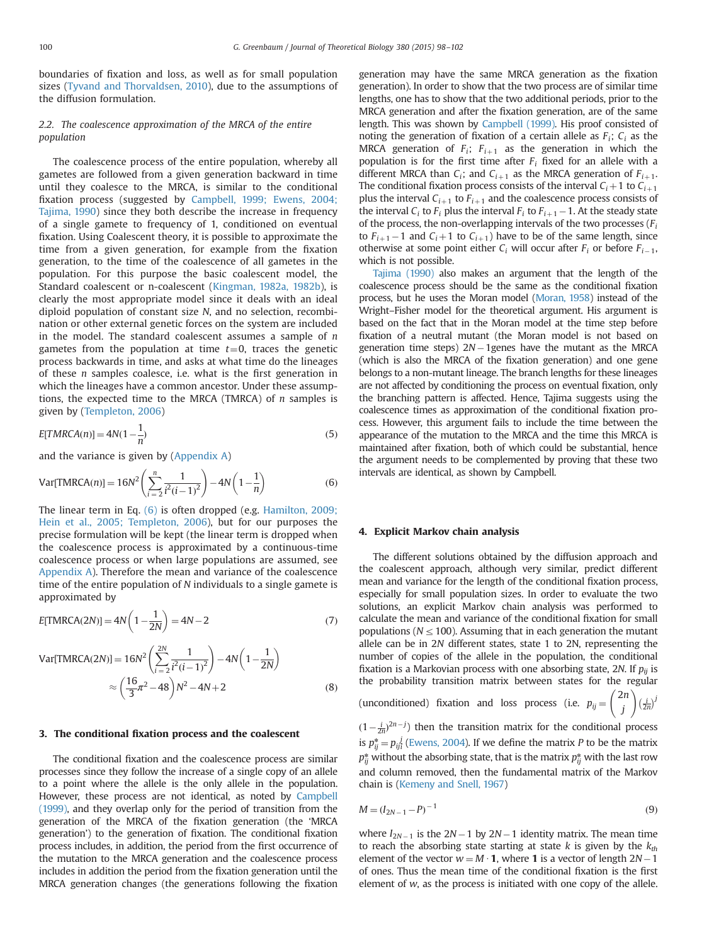<span id="page-2-0"></span>boundaries of fixation and loss, as well as for small population sizes ([Tyvand and Thorvaldsen, 2010](#page-4-0)), due to the assumptions of the diffusion formulation.

## 2.2. The coalescence approximation of the MRCA of the entire population

The coalescence process of the entire population, whereby all gametes are followed from a given generation backward in time until they coalesce to the MRCA, is similar to the conditional fixation process (suggested by [Campbell, 1999; Ewens, 2004;](#page-4-0) [Tajima, 1990\)](#page-4-0) since they both describe the increase in frequency of a single gamete to frequency of 1, conditioned on eventual fixation. Using Coalescent theory, it is possible to approximate the time from a given generation, for example from the fixation generation, to the time of the coalescence of all gametes in the population. For this purpose the basic coalescent model, the Standard coalescent or n-coalescent ([Kingman, 1982a, 1982b](#page-4-0)), is clearly the most appropriate model since it deals with an ideal diploid population of constant size N, and no selection, recombination or other external genetic forces on the system are included in the model. The standard coalescent assumes a sample of  $n$ gametes from the population at time  $t=0$ , traces the genetic process backwards in time, and asks at what time do the lineages of these n samples coalesce, i.e. what is the first generation in which the lineages have a common ancestor. Under these assumptions, the expected time to the MRCA (TMRCA) of  $n$  samples is given by ([Templeton, 2006](#page-4-0))

$$
E[TMRCA(n)] = 4N(1 - \frac{1}{n})
$$
\n<sup>(5)</sup>

and the variance is given by [\(Appendix A](#page-4-0))

Var[TMRCA(n)] = 
$$
16N^2 \left( \sum_{i=2}^{n} \frac{1}{i^2(i-1)^2} \right) - 4N \left( 1 - \frac{1}{n} \right)
$$
 (6)

The linear term in Eq. (6) is often dropped (e.g. [Hamilton, 2009;](#page-4-0) [Hein et al., 2005; Templeton, 2006\)](#page-4-0), but for our purposes the precise formulation will be kept (the linear term is dropped when the coalescence process is approximated by a continuous-time coalescence process or when large populations are assumed, see [Appendix A](#page-4-0)). Therefore the mean and variance of the coalescence time of the entire population of N individuals to a single gamete is approximated by

$$
E[\text{TMRCA}(2N)] = 4N\left(1 - \frac{1}{2N}\right) = 4N - 2\tag{7}
$$

Var[TMRCA(2N)] = 
$$
16N^2 \left( \sum_{i=2}^{2N} \frac{1}{i^2(i-1)^2} \right) - 4N \left( 1 - \frac{1}{2N} \right)
$$
  
\n
$$
\approx \left( \frac{16}{3} \pi^2 - 48 \right) N^2 - 4N + 2
$$
\n(8)

## 3. The conditional fixation process and the coalescent

The conditional fixation and the coalescence process are similar processes since they follow the increase of a single copy of an allele to a point where the allele is the only allele in the population. However, these process are not identical, as noted by [Campbell](#page-4-0) [\(1999\)](#page-4-0), and they overlap only for the period of transition from the generation of the MRCA of the fixation generation (the 'MRCA generation') to the generation of fixation. The conditional fixation process includes, in addition, the period from the first occurrence of the mutation to the MRCA generation and the coalescence process includes in addition the period from the fixation generation until the MRCA generation changes (the generations following the fixation

generation may have the same MRCA generation as the fixation generation). In order to show that the two process are of similar time lengths, one has to show that the two additional periods, prior to the MRCA generation and after the fixation generation, are of the same length. This was shown by [Campbell \(1999\)](#page-4-0). His proof consisted of noting the generation of fixation of a certain allele as  $F_i$ ;  $C_i$  as the MRCA generation of  $F_i$ ;  $F_{i+1}$  as the generation in which the population is for the first time after  $F_i$  fixed for an allele with a different MRCA than  $C_i$ ; and  $C_{i+1}$  as the MRCA generation of  $F_{i+1}$ . The conditional fixation process consists of the interval  $C_i + 1$  to  $C_{i+1}$ plus the interval  $C_{i+1}$  to  $F_{i+1}$  and the coalescence process consists of the interval  $C_i$  to  $F_i$  plus the interval  $F_i$  to  $F_{i+1}$  – 1. At the steady state of the process, the non-overlapping intervals of the two processes  $(F_i)$ to  $F_{i+1}$  – 1 and  $C_i$  + 1 to  $C_{i+1}$ ) have to be of the same length, since otherwise at some point either  $C_i$  will occur after  $F_i$  or before  $F_{i-1}$ , which is not possible.

[Tajima \(1990\)](#page-4-0) also makes an argument that the length of the coalescence process should be the same as the conditional fixation process, but he uses the Moran model [\(Moran, 1958\)](#page-4-0) instead of the Wright–Fisher model for the theoretical argument. His argument is based on the fact that in the Moran model at the time step before fixation of a neutral mutant (the Moran model is not based on generation time steps)  $2N-1$ genes have the mutant as the MRCA (which is also the MRCA of the fixation generation) and one gene belongs to a non-mutant lineage. The branch lengths for these lineages are not affected by conditioning the process on eventual fixation, only the branching pattern is affected. Hence, Tajima suggests using the coalescence times as approximation of the conditional fixation process. However, this argument fails to include the time between the appearance of the mutation to the MRCA and the time this MRCA is maintained after fixation, both of which could be substantial, hence the argument needs to be complemented by proving that these two intervals are identical, as shown by Campbell.

## 4. Explicit Markov chain analysis

The different solutions obtained by the diffusion approach and the coalescent approach, although very similar, predict different mean and variance for the length of the conditional fixation process, especially for small population sizes. In order to evaluate the two solutions, an explicit Markov chain analysis was performed to calculate the mean and variance of the conditional fixation for small populations ( $N \leq 100$ ). Assuming that in each generation the mutant allele can be in 2N different states, state 1 to 2N, representing the number of copies of the allele in the population, the conditional fixation is a Markovian process with one absorbing state, 2N. If  $p_{ii}$  is the probability transition matrix between states for the regular

(unconditioned) fixation and loss process (i.e.  $p_{ij} =$ 

$$
\binom{2n}{j} \left(\frac{i}{2n}\right)^j
$$

 $(1 - \frac{i}{2n})^{2n-j}$  then the transition matrix for the conditional process is  $p_{ij}^* = p_{ij}^j$  ([Ewens, 2004\)](#page-4-0). If we define the matrix P to be the matrix  $p_{ij}^*$  without the absorbing state, that is the matrix  $p_{ij}^*$  with the last row and column removed, then the fundamental matrix of the Markov chain is ([Kemeny and Snell, 1967\)](#page-4-0)

$$
M = (I_{2N-1} - P)^{-1}
$$
 (9)

where  $I_{2N-1}$  is the  $2N-1$  by  $2N-1$  identity matrix. The mean time to reach the absorbing state starting at state k is given by the  $k_{th}$ element of the vector  $w = M \cdot 1$ , where 1 is a vector of length  $2N-1$ of ones. Thus the mean time of the conditional fixation is the first element of w, as the process is initiated with one copy of the allele.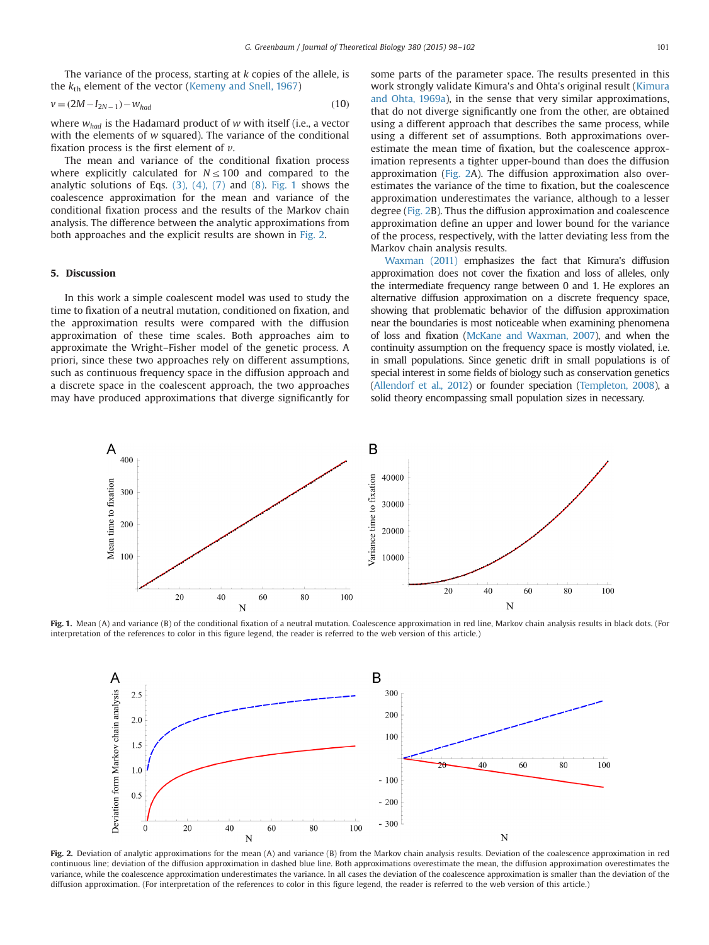<span id="page-3-0"></span>The variance of the process, starting at  $k$  copies of the allele, is the  $k_{\text{th}}$  element of the vector [\(Kemeny and Snell, 1967](#page-4-0))

$$
v = (2M - I_{2N-1}) - w_{had} \tag{10}
$$

where  $w_{had}$  is the Hadamard product of w with itself (i.e., a vector with the elements of w squared). The variance of the conditional fixation process is the first element of  $\nu$ .

The mean and variance of the conditional fixation process where explicitly calculated for  $N \le 100$  and compared to the analytic solutions of Eqs.  $(3)$ ,  $(4)$ ,  $(7)$  and  $(8)$ . Fig. 1 shows the coalescence approximation for the mean and variance of the conditional fixation process and the results of the Markov chain analysis. The difference between the analytic approximations from both approaches and the explicit results are shown in Fig. 2.

## 5. Discussion

In this work a simple coalescent model was used to study the time to fixation of a neutral mutation, conditioned on fixation, and the approximation results were compared with the diffusion approximation of these time scales. Both approaches aim to approximate the Wright–Fisher model of the genetic process. A priori, since these two approaches rely on different assumptions, such as continuous frequency space in the diffusion approach and a discrete space in the coalescent approach, the two approaches may have produced approximations that diverge significantly for some parts of the parameter space. The results presented in this work strongly validate Kimura's and Ohta's original result ([Kimura](#page-4-0) [and Ohta, 1969a\)](#page-4-0), in the sense that very similar approximations, that do not diverge significantly one from the other, are obtained using a different approach that describes the same process, while using a different set of assumptions. Both approximations overestimate the mean time of fixation, but the coalescence approximation represents a tighter upper-bound than does the diffusion approximation (Fig. 2A). The diffusion approximation also overestimates the variance of the time to fixation, but the coalescence approximation underestimates the variance, although to a lesser degree (Fig. 2B). Thus the diffusion approximation and coalescence approximation define an upper and lower bound for the variance of the process, respectively, with the latter deviating less from the Markov chain analysis results.

[Waxman \(2011\)](#page-4-0) emphasizes the fact that Kimura's diffusion approximation does not cover the fixation and loss of alleles, only the intermediate frequency range between 0 and 1. He explores an alternative diffusion approximation on a discrete frequency space, showing that problematic behavior of the diffusion approximation near the boundaries is most noticeable when examining phenomena of loss and fixation [\(McKane and Waxman, 2007\)](#page-4-0), and when the continuity assumption on the frequency space is mostly violated, i.e. in small populations. Since genetic drift in small populations is of special interest in some fields of biology such as conservation genetics [\(Allendorf et al., 2012\)](#page-4-0) or founder speciation [\(Templeton, 2008\)](#page-4-0), a solid theory encompassing small population sizes in necessary.



Fig. 1. Mean (A) and variance (B) of the conditional fixation of a neutral mutation. Coalescence approximation in red line, Markov chain analysis results in black dots. (For interpretation of the references to color in this figure legend, the reader is referred to the web version of this article.)



Fig. 2. Deviation of analytic approximations for the mean (A) and variance (B) from the Markov chain analysis results. Deviation of the coalescence approximation in red continuous line; deviation of the diffusion approximation in dashed blue line. Both approximations overestimate the mean, the diffusion approximation overestimates the variance, while the coalescence approximation underestimates the variance. In all cases the deviation of the coalescence approximation is smaller than the deviation of the diffusion approximation. (For interpretation of the references to color in this figure legend, the reader is referred to the web version of this article.)